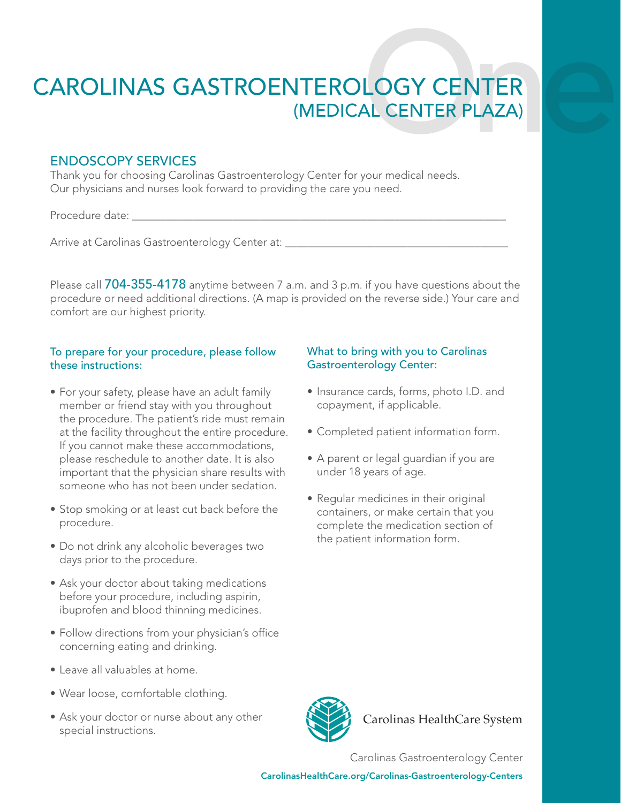# CAROLINAS GASTROENTEROLOGY CENTER<br>(MEDICAL CENTER PLAZA) **ITEROLOGY CENTER<br>(MEDICAL CENTER PLAZA)**

# ENDOSCOPY SERVICES

Thank you for choosing Carolinas Gastroenterology Center for your medical needs. Our physicians and nurses look forward to providing the care you need.

Procedure date:

Arrive at Carolinas Gastroenterology Center at:

Please call 704-355-4178 anytime between 7 a.m. and 3 p.m. if you have questions about the procedure or need additional directions. (A map is provided on the reverse side.) Your care and comfort are our highest priority.

### To prepare for your procedure, please follow these instructions:

- For your safety, please have an adult family member or friend stay with you throughout the procedure. The patient's ride must remain at the facility throughout the entire procedure. If you cannot make these accommodations, please reschedule to another date. It is also important that the physician share results with someone who has not been under sedation.
- Stop smoking or at least cut back before the procedure.
- Do not drink any alcoholic beverages two days prior to the procedure.
- Ask your doctor about taking medications before your procedure, including aspirin, ibuprofen and blood thinning medicines.
- Follow directions from your physician's office concerning eating and drinking.
- Leave all valuables at home.
- Wear loose, comfortable clothing.
- Ask your doctor or nurse about any other special instructions.

## What to bring with you to Carolinas Gastroenterology Center:

- Insurance cards, forms, photo I.D. and copayment, if applicable.
- Completed patient information form.
- A parent or legal guardian if you are under 18 years of age.
- Regular medicines in their original containers, or make certain that you complete the medication section of the patient information form.



Carolinas HealthCare System

Carolinas Gastroenterology Center